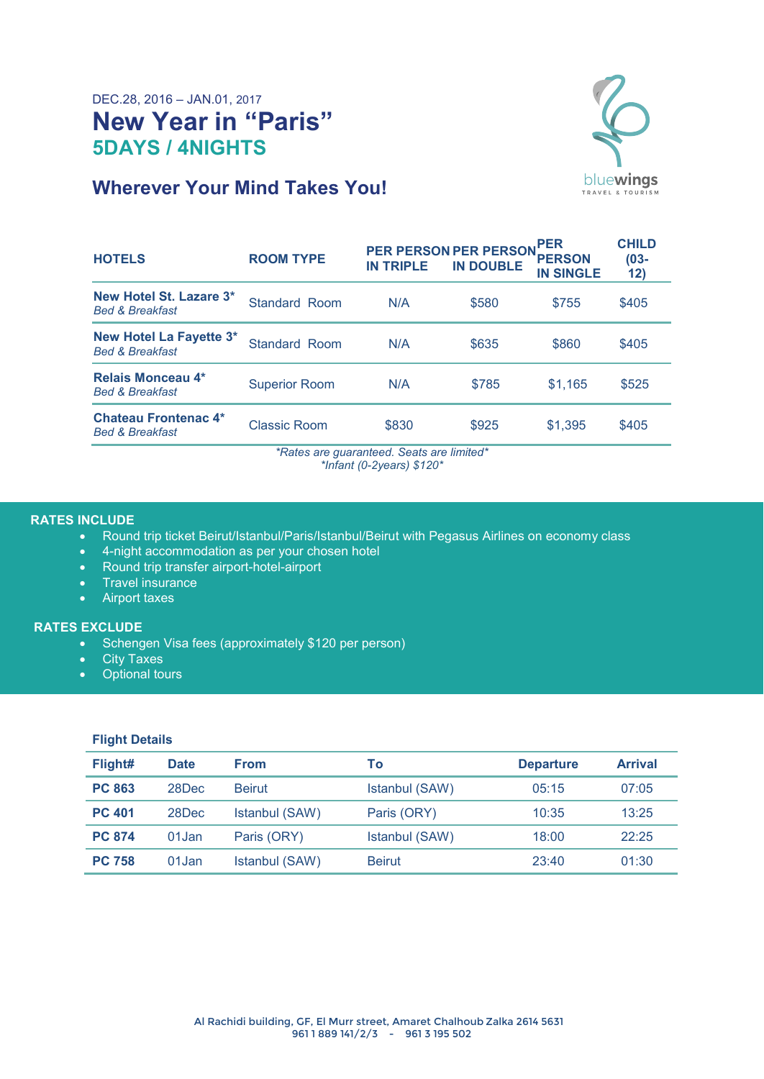# DEC.28, 2016 – JAN.01, 2017 **New Year in "Paris" 5DAYS / 4NIGHTS**



# **Wherever Your Mind Takes You!**

| <b>HOTELS</b>                                                | <b>ROOM TYPE</b>     | <b>IN TRIPLE</b> | <b>PER PERSON PER PERSON</b><br><b>IN DOUBLE</b> | .PER<br><b>PERSON</b><br><b>IN SINGLE</b> | <b>CHILD</b><br>$(03 -$<br>12) |
|--------------------------------------------------------------|----------------------|------------------|--------------------------------------------------|-------------------------------------------|--------------------------------|
| New Hotel St. Lazare 3*<br><b>Bed &amp; Breakfast</b>        | Standard Room        | N/A              | \$580                                            | \$755                                     | \$405                          |
| <b>New Hotel La Fayette 3*</b><br><b>Bed &amp; Breakfast</b> | Standard Room        | N/A              | \$635                                            | \$860                                     | \$405                          |
| Relais Monceau 4*<br><b>Bed &amp; Breakfast</b>              | <b>Superior Room</b> | N/A              | \$785                                            | \$1.165                                   | \$525                          |
| <b>Chateau Frontenac 4*</b><br><b>Bed &amp; Breakfast</b>    | Classic Room         | \$830            | \$925                                            | \$1,395                                   | \$405                          |

*\*Rates are guaranteed. Seats are limited\* \*Infant (0-2years) \$120\**

#### **RATES INCLUDE**

- Round trip ticket Beirut/Istanbul/Paris/Istanbul/Beirut with Pegasus Airlines on economy class
- 4-night accommodation as per your chosen hotel
- Round trip transfer airport-hotel-airport
- Travel insurance
- Airport taxes

### **RATES EXCLUDE**

- Schengen Visa fees (approximately \$120 per person)
- City Taxes
- Optional tours

### **Flight Details**

| Flight#       | <b>Date</b> | <b>From</b>    | To             | <b>Departure</b> | <b>Arrival</b> |
|---------------|-------------|----------------|----------------|------------------|----------------|
| <b>PC 863</b> | 28Dec       | <b>Beirut</b>  | Istanbul (SAW) | 05:15            | 07:05          |
| <b>PC 401</b> | 28Dec       | Istanbul (SAW) | Paris (ORY)    | 10:35            | 13:25          |
| <b>PC 874</b> | 01Jan       | Paris (ORY)    | Istanbul (SAW) | 18:00            | 22:25          |
| <b>PC 758</b> | 01Jan       | Istanbul (SAW) | <b>Beirut</b>  | 23:40            | 01:30          |